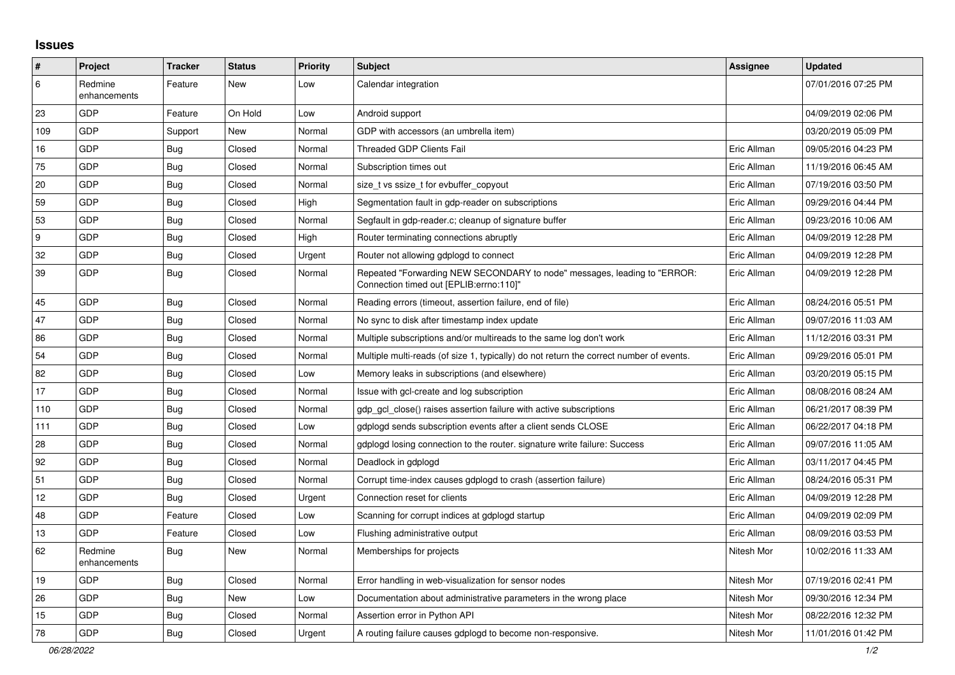## **Issues**

| $\vert$ # | Project                 | <b>Tracker</b> | <b>Status</b> | <b>Priority</b> | <b>Subject</b>                                                                                                      | <b>Assignee</b> | <b>Updated</b>      |
|-----------|-------------------------|----------------|---------------|-----------------|---------------------------------------------------------------------------------------------------------------------|-----------------|---------------------|
| 6         | Redmine<br>enhancements | Feature        | New           | Low             | Calendar integration                                                                                                |                 | 07/01/2016 07:25 PM |
| 23        | GDP                     | Feature        | On Hold       | Low             | Android support                                                                                                     |                 | 04/09/2019 02:06 PM |
| 109       | GDP                     | Support        | New           | Normal          | GDP with accessors (an umbrella item)                                                                               |                 | 03/20/2019 05:09 PM |
| 16        | GDP                     | Bug            | Closed        | Normal          | <b>Threaded GDP Clients Fail</b>                                                                                    | Eric Allman     | 09/05/2016 04:23 PM |
| 75        | GDP                     | Bug            | Closed        | Normal          | Subscription times out                                                                                              | Eric Allman     | 11/19/2016 06:45 AM |
| 20        | GDP                     | <b>Bug</b>     | Closed        | Normal          | size t vs ssize t for evbuffer copyout                                                                              | Eric Allman     | 07/19/2016 03:50 PM |
| 59        | GDP                     | <b>Bug</b>     | Closed        | High            | Segmentation fault in gdp-reader on subscriptions                                                                   | Eric Allman     | 09/29/2016 04:44 PM |
| 53        | GDP                     | Bug            | Closed        | Normal          | Segfault in gdp-reader.c; cleanup of signature buffer                                                               | Eric Allman     | 09/23/2016 10:06 AM |
| 9         | GDP                     | <b>Bug</b>     | Closed        | High            | Router terminating connections abruptly                                                                             | Eric Allman     | 04/09/2019 12:28 PM |
| 32        | GDP                     | Bug            | Closed        | Urgent          | Router not allowing gdplogd to connect                                                                              | Eric Allman     | 04/09/2019 12:28 PM |
| 39        | GDP                     | <b>Bug</b>     | Closed        | Normal          | Repeated "Forwarding NEW SECONDARY to node" messages, leading to "ERROR:<br>"Connection timed out [EPLIB:errno:110] | Eric Allman     | 04/09/2019 12:28 PM |
| 45        | GDP                     | <b>Bug</b>     | Closed        | Normal          | Reading errors (timeout, assertion failure, end of file)                                                            | Eric Allman     | 08/24/2016 05:51 PM |
| 47        | GDP                     | Bug            | Closed        | Normal          | No sync to disk after timestamp index update                                                                        | Eric Allman     | 09/07/2016 11:03 AM |
| 86        | GDP                     | Bug            | Closed        | Normal          | Multiple subscriptions and/or multireads to the same log don't work                                                 | Eric Allman     | 11/12/2016 03:31 PM |
| 54        | GDP                     | <b>Bug</b>     | Closed        | Normal          | Multiple multi-reads (of size 1, typically) do not return the correct number of events.                             | Eric Allman     | 09/29/2016 05:01 PM |
| 82        | GDP                     | Bug            | Closed        | Low             | Memory leaks in subscriptions (and elsewhere)                                                                       | Eric Allman     | 03/20/2019 05:15 PM |
| 17        | GDP                     | Bug            | Closed        | Normal          | Issue with gcl-create and log subscription                                                                          | Eric Allman     | 08/08/2016 08:24 AM |
| 110       | GDP                     | <b>Bug</b>     | Closed        | Normal          | gdp_gcl_close() raises assertion failure with active subscriptions                                                  | Eric Allman     | 06/21/2017 08:39 PM |
| 111       | GDP                     | Bug            | Closed        | Low             | gdplogd sends subscription events after a client sends CLOSE                                                        | Eric Allman     | 06/22/2017 04:18 PM |
| 28        | GDP                     | <b>Bug</b>     | Closed        | Normal          | gdplogd losing connection to the router. signature write failure: Success                                           | Eric Allman     | 09/07/2016 11:05 AM |
| 92        | GDP                     | Bug            | Closed        | Normal          | Deadlock in gdplogd                                                                                                 | Eric Allman     | 03/11/2017 04:45 PM |
| 51        | GDP                     | Bug            | Closed        | Normal          | Corrupt time-index causes gdplogd to crash (assertion failure)                                                      | Eric Allman     | 08/24/2016 05:31 PM |
| 12        | GDP                     | Bug            | Closed        | Urgent          | Connection reset for clients                                                                                        | Eric Allman     | 04/09/2019 12:28 PM |
| 48        | GDP                     | Feature        | Closed        | Low             | Scanning for corrupt indices at gdplogd startup                                                                     | Eric Allman     | 04/09/2019 02:09 PM |
| 13        | GDP                     | Feature        | Closed        | Low             | Flushing administrative output                                                                                      | Eric Allman     | 08/09/2016 03:53 PM |
| 62        | Redmine<br>enhancements | <b>Bug</b>     | New           | Normal          | Memberships for projects                                                                                            | Nitesh Mor      | 10/02/2016 11:33 AM |
| 19        | GDP                     | Bug            | Closed        | Normal          | Error handling in web-visualization for sensor nodes                                                                | Nitesh Mor      | 07/19/2016 02:41 PM |
| 26        | GDP                     | Bug            | New           | Low             | Documentation about administrative parameters in the wrong place                                                    | Nitesh Mor      | 09/30/2016 12:34 PM |
| 15        | GDP                     | Bug            | Closed        | Normal          | Assertion error in Python API                                                                                       | Nitesh Mor      | 08/22/2016 12:32 PM |
| 78        | GDP                     | Bug            | Closed        | Urgent          | A routing failure causes gdplogd to become non-responsive.                                                          | Nitesh Mor      | 11/01/2016 01:42 PM |